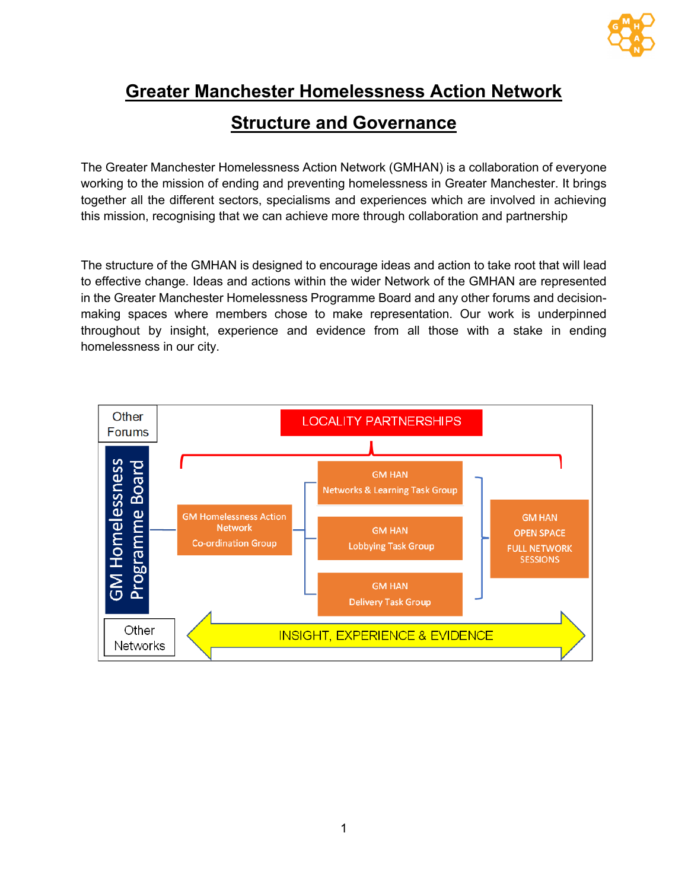

## **Greater Manchester Homelessness Action Network Structure and Governance**

The Greater Manchester Homelessness Action Network (GMHAN) is a collaboration of everyone working to the mission of ending and preventing homelessness in Greater Manchester. It brings together all the different sectors, specialisms and experiences which are involved in achieving this mission, recognising that we can achieve more through collaboration and partnership

The structure of the GMHAN is designed to encourage ideas and action to take root that will lead to effective change. Ideas and actions within the wider Network of the GMHAN are represented in the Greater Manchester Homelessness Programme Board and any other forums and decisionmaking spaces where members chose to make representation. Our work is underpinned throughout by insight, experience and evidence from all those with a stake in ending homelessness in our city.

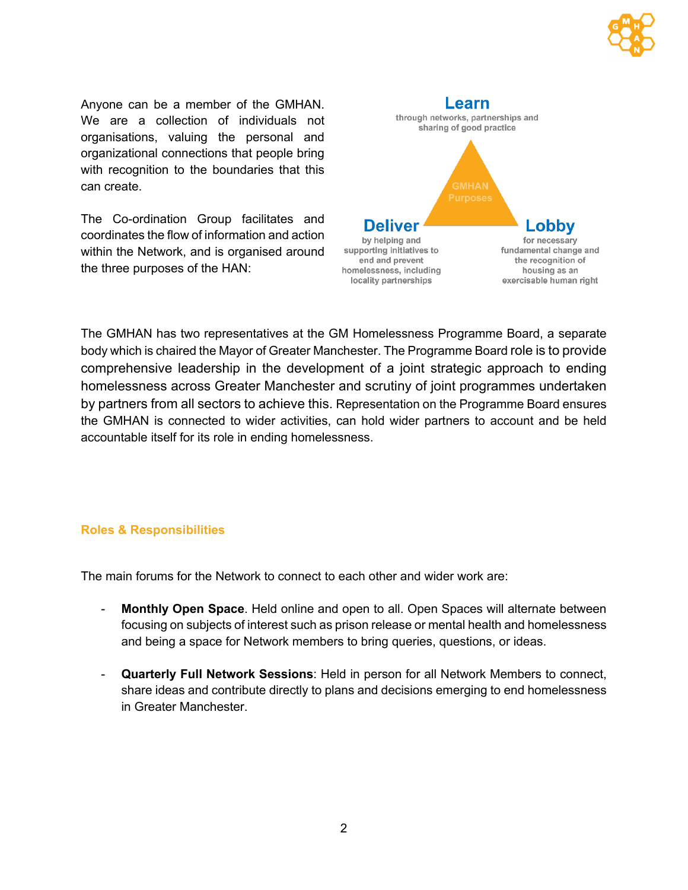

Anyone can be a member of the GMHAN. We are a collection of individuals not organisations, valuing the personal and organizational connections that people bring with recognition to the boundaries that this can create.

The Co-ordination Group facilitates and coordinates the flow of information and action within the Network, and is organised around the three purposes of the HAN:



The GMHAN has two representatives at the GM Homelessness Programme Board, a separate body which is chaired the Mayor of Greater Manchester. The Programme Board role is to provide comprehensive leadership in the development of a joint strategic approach to ending homelessness across Greater Manchester and scrutiny of joint programmes undertaken by partners from all sectors to achieve this. Representation on the Programme Board ensures the GMHAN is connected to wider activities, can hold wider partners to account and be held accountable itself for its role in ending homelessness.

## **Roles & Responsibilities**

The main forums for the Network to connect to each other and wider work are:

- **Monthly Open Space**. Held online and open to all. Open Spaces will alternate between focusing on subjects of interest such as prison release or mental health and homelessness and being a space for Network members to bring queries, questions, or ideas.
- **Quarterly Full Network Sessions**: Held in person for all Network Members to connect, share ideas and contribute directly to plans and decisions emerging to end homelessness in Greater Manchester.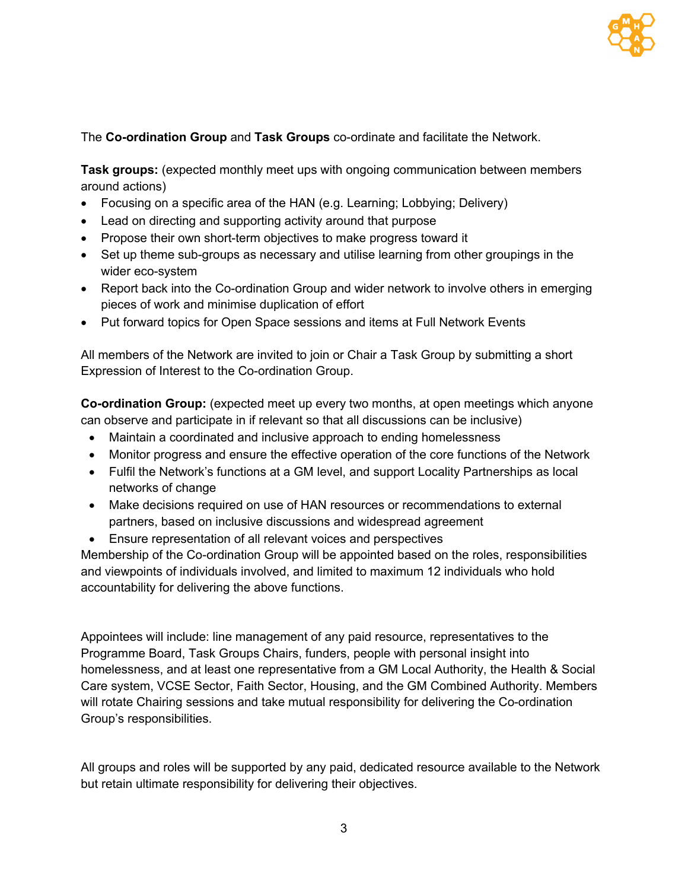

## The **Co-ordination Group** and **Task Groups** co-ordinate and facilitate the Network.

**Task groups:** (expected monthly meet ups with ongoing communication between members around actions)

- Focusing on a specific area of the HAN (e.g. Learning; Lobbying; Delivery)
- Lead on directing and supporting activity around that purpose
- Propose their own short-term objectives to make progress toward it
- Set up theme sub-groups as necessary and utilise learning from other groupings in the wider eco-system
- Report back into the Co-ordination Group and wider network to involve others in emerging pieces of work and minimise duplication of effort
- Put forward topics for Open Space sessions and items at Full Network Events

All members of the Network are invited to join or Chair a Task Group by submitting a short Expression of Interest to the Co-ordination Group.

**Co-ordination Group:** (expected meet up every two months, at open meetings which anyone can observe and participate in if relevant so that all discussions can be inclusive)

- Maintain a coordinated and inclusive approach to ending homelessness
- Monitor progress and ensure the effective operation of the core functions of the Network
- Fulfil the Network's functions at a GM level, and support Locality Partnerships as local networks of change
- Make decisions required on use of HAN resources or recommendations to external partners, based on inclusive discussions and widespread agreement
- Ensure representation of all relevant voices and perspectives

Membership of the Co-ordination Group will be appointed based on the roles, responsibilities and viewpoints of individuals involved, and limited to maximum 12 individuals who hold accountability for delivering the above functions.

Appointees will include: line management of any paid resource, representatives to the Programme Board, Task Groups Chairs, funders, people with personal insight into homelessness, and at least one representative from a GM Local Authority, the Health & Social Care system, VCSE Sector, Faith Sector, Housing, and the GM Combined Authority. Members will rotate Chairing sessions and take mutual responsibility for delivering the Co-ordination Group's responsibilities.

All groups and roles will be supported by any paid, dedicated resource available to the Network but retain ultimate responsibility for delivering their objectives.